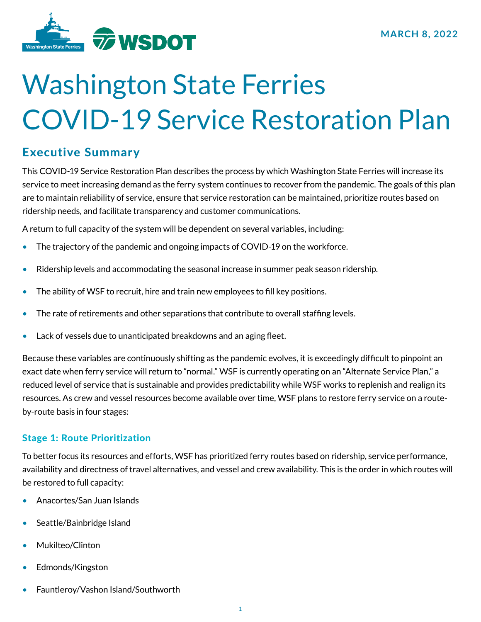

# Washington State Ferries COVID-19 Service Restoration Plan

# Executive Summary

This COVID-19 Service Restoration Plan describes the process by which Washington State Ferries will increase its service to meet increasing demand as the ferry system continues to recover from the pandemic. The goals of this plan are to maintain reliability of service, ensure that service restoration can be maintained, prioritize routes based on ridership needs, and facilitate transparency and customer communications.

A return to full capacity of the system will be dependent on several variables, including:

- The trajectory of the pandemic and ongoing impacts of COVID-19 on the workforce.
- Ridership levels and accommodating the seasonal increase in summer peak season ridership.
- The ability of WSF to recruit, hire and train new employees to fill key positions.
- The rate of retirements and other separations that contribute to overall staffing levels.
- Lack of vessels due to unanticipated breakdowns and an aging fleet.

Because these variables are continuously shifting as the pandemic evolves, it is exceedingly difficult to pinpoint an exact date when ferry service will return to "normal." WSF is currently operating on an "Alternate Service Plan," a reduced level of service that is sustainable and provides predictability while WSF works to replenish and realign its resources. As crew and vessel resources become available over time, WSF plans to restore ferry service on a routeby-route basis in four stages:

# Stage 1: Route Prioritization

To better focus its resources and efforts, WSF has prioritized ferry routes based on ridership, service performance, availability and directness of travel alternatives, and vessel and crew availability. This is the order in which routes will be restored to full capacity:

- Anacortes/San Juan Islands
- Seattle/Bainbridge Island
- Mukilteo/Clinton
- Edmonds/Kingston
- Fauntleroy/Vashon Island/Southworth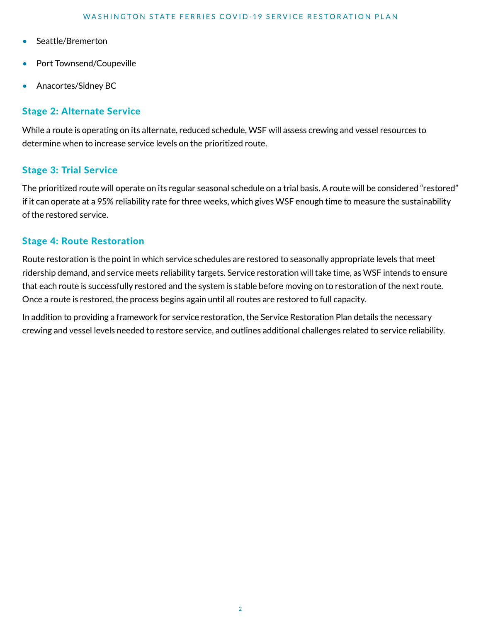- Seattle/Bremerton
- Port Townsend/Coupeville
- Anacortes/Sidney BC

# Stage 2: Alternate Service

While a route is operating on its alternate, reduced schedule, WSF will assess crewing and vessel resources to determine when to increase service levels on the prioritized route.

## Stage 3: Trial Service

The prioritized route will operate on its regular seasonal schedule on a trial basis. A route will be considered "restored" if it can operate at a 95% reliability rate for three weeks, which gives WSF enough time to measure the sustainability of the restored service.

## Stage 4: Route Restoration

Route restoration is the point in which service schedules are restored to seasonally appropriate levels that meet ridership demand, and service meets reliability targets. Service restoration will take time, as WSF intends to ensure that each route is successfully restored and the system is stable before moving on to restoration of the next route. Once a route is restored, the process begins again until all routes are restored to full capacity.

In addition to providing a framework for service restoration, the Service Restoration Plan details the necessary crewing and vessel levels needed to restore service, and outlines additional challenges related to service reliability.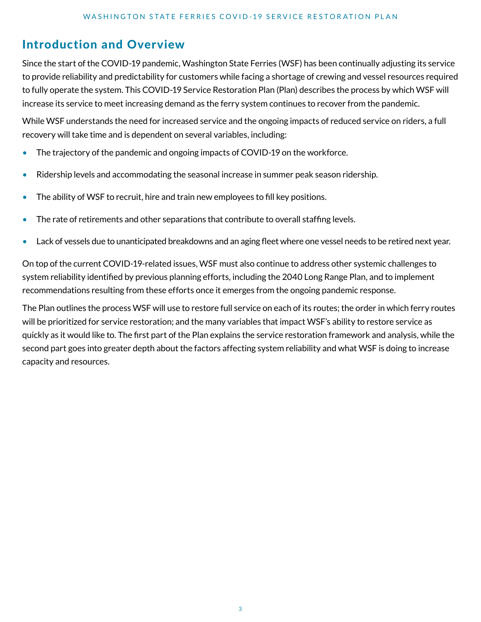# Introduction and Overview

Since the start of the COVID-19 pandemic, Washington State Ferries (WSF) has been continually adjusting its service to provide reliability and predictability for customers while facing a shortage of crewing and vessel resources required to fully operate the system. This COVID-19 Service Restoration Plan (Plan) describes the process by which WSF will increase its service to meet increasing demand as the ferry system continues to recover from the pandemic.

While WSF understands the need for increased service and the ongoing impacts of reduced service on riders, a full recovery will take time and is dependent on several variables, including:

- The trajectory of the pandemic and ongoing impacts of COVID-19 on the workforce.
- Ridership levels and accommodating the seasonal increase in summer peak season ridership.
- The ability of WSF to recruit, hire and train new employees to fill key positions.
- The rate of retirements and other separations that contribute to overall staffing levels.
- Lack of vessels due to unanticipated breakdowns and an aging fleet where one vessel needs to be retired next year.

On top of the current COVID-19-related issues, WSF must also continue to address other systemic challenges to system reliability identified by previous planning efforts, including the 2040 Long Range Plan, and to implement recommendations resulting from these efforts once it emerges from the ongoing pandemic response.

The Plan outlines the process WSF will use to restore full service on each of its routes; the order in which ferry routes will be prioritized for service restoration; and the many variables that impact WSF's ability to restore service as quickly as it would like to. The first part of the Plan explains the service restoration framework and analysis, while the second part goes into greater depth about the factors affecting system reliability and what WSF is doing to increase capacity and resources.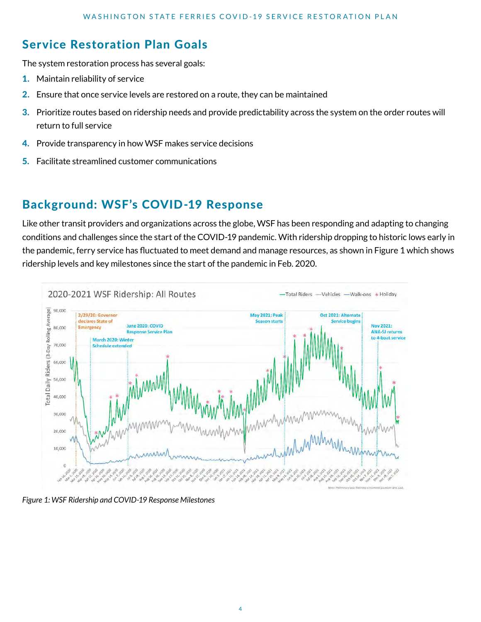# Service Restoration Plan Goals

The system restoration process has several goals:

- 1. Maintain reliability of service
- 2. Ensure that once service levels are restored on a route, they can be maintained
- 3. Prioritize routes based on ridership needs and provide predictability across the system on the order routes will return to full service
- 4. Provide transparency in how WSF makes service decisions
- 5. Facilitate streamlined customer communications

# Background: WSF's COVID-19 Response

Like other transit providers and organizations across the globe, WSF has been responding and adapting to changing conditions and challenges since the start of the COVID-19 pandemic. With ridership dropping to historic lows early in the pandemic, ferry service has fluctuated to meet demand and manage resources, as shown in Figure 1 which shows ridership levels and key milestones since the start of the pandemic in Feb. 2020.



*Figure 1: WSF Ridership and COVID-19 Response Milestones*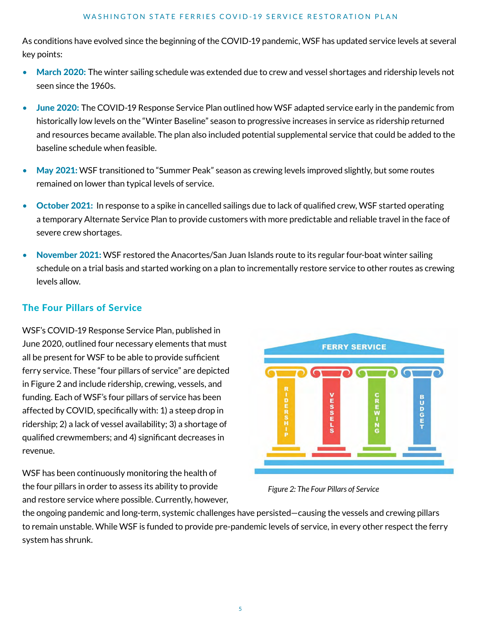As conditions have evolved since the beginning of the COVID-19 pandemic, WSF has updated service levels at several key points:

- March 2020: The winter sailing schedule was extended due to crew and vessel shortages and ridership levels not seen since the 1960s.
- June 2020: The COVID-19 Response Service Plan outlined how WSF adapted service early in the pandemic from historically low levels on the "Winter Baseline" season to progressive increases in service as ridership returned and resources became available. The plan also included potential supplemental service that could be added to the baseline schedule when feasible.
- May 2021: WSF transitioned to "Summer Peak" season as crewing levels improved slightly, but some routes remained on lower than typical levels of service.
- October 2021: In response to a spike in cancelled sailings due to lack of qualified crew, WSF started operating a temporary Alternate Service Plan to provide customers with more predictable and reliable travel in the face of severe crew shortages.
- November 2021: WSF restored the Anacortes/San Juan Islands route to its regular four-boat winter sailing schedule on a trial basis and started working on a plan to incrementally restore service to other routes as crewing levels allow.

# The Four Pillars of Service

WSF's COVID-19 Response Service Plan, published in June 2020, outlined four necessary elements that must all be present for WSF to be able to provide sufficient ferry service. These "four pillars of service" are depicted in Figure 2 and include ridership, crewing, vessels, and funding. Each of WSF's four pillars of service has been affected by COVID, specifically with: 1) a steep drop in ridership; 2) a lack of vessel availability; 3) a shortage of qualified crewmembers; and 4) significant decreases in revenue.

WSF has been continuously monitoring the health of the four pillars in order to assess its ability to provide and restore service where possible. Currently, however,



*Figure 2: The Four Pillars of Service*

the ongoing pandemic and long-term, systemic challenges have persisted—causing the vessels and crewing pillars to remain unstable. While WSF is funded to provide pre-pandemic levels of service, in every other respect the ferry system has shrunk.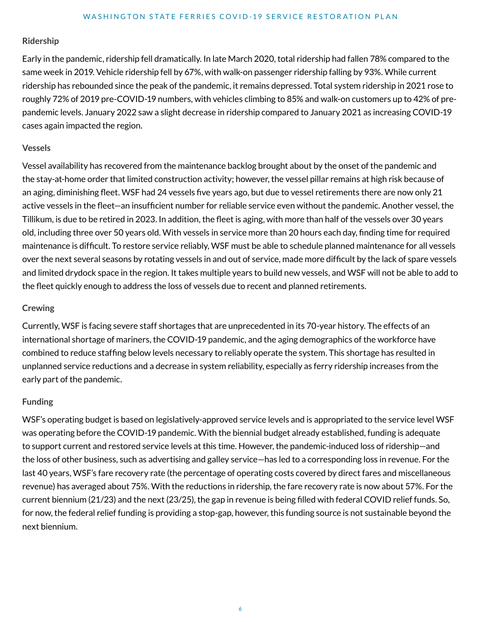#### **Ridership**

Early in the pandemic, ridership fell dramatically. In late March 2020, total ridership had fallen 78% compared to the same week in 2019. Vehicle ridership fell by 67%, with walk-on passenger ridership falling by 93%. While current ridership has rebounded since the peak of the pandemic, it remains depressed. Total system ridership in 2021 rose to roughly 72% of 2019 pre-COVID-19 numbers, with vehicles climbing to 85% and walk-on customers up to 42% of prepandemic levels. January 2022 saw a slight decrease in ridership compared to January 2021 as increasing COVID-19 cases again impacted the region.

#### **Vessels**

Vessel availability has recovered from the maintenance backlog brought about by the onset of the pandemic and the stay-at-home order that limited construction activity; however, the vessel pillar remains at high risk because of an aging, diminishing fleet. WSF had 24 vessels five years ago, but due to vessel retirements there are now only 21 active vessels in the fleet—an insufficient number for reliable service even without the pandemic. Another vessel, the Tillikum, is due to be retired in 2023. In addition, the fleet is aging, with more than half of the vessels over 30 years old, including three over 50 years old. With vessels in service more than 20 hours each day, finding time for required maintenance is difficult. To restore service reliably, WSF must be able to schedule planned maintenance for all vessels over the next several seasons by rotating vessels in and out of service, made more difficult by the lack of spare vessels and limited drydock space in the region. It takes multiple years to build new vessels, and WSF will not be able to add to the fleet quickly enough to address the loss of vessels due to recent and planned retirements.

#### **Crewing**

Currently, WSF is facing severe staff shortages that are unprecedented in its 70-year history. The effects of an international shortage of mariners, the COVID-19 pandemic, and the aging demographics of the workforce have combined to reduce staffing below levels necessary to reliably operate the system. This shortage has resulted in unplanned service reductions and a decrease in system reliability, especially as ferry ridership increases from the early part of the pandemic.

#### **Funding**

WSF's operating budget is based on legislatively-approved service levels and is appropriated to the service level WSF was operating before the COVID-19 pandemic. With the biennial budget already established, funding is adequate to support current and restored service levels at this time. However, the pandemic-induced loss of ridership—and the loss of other business, such as advertising and galley service—has led to a corresponding loss in revenue. For the last 40 years, WSF's fare recovery rate (the percentage of operating costs covered by direct fares and miscellaneous revenue) has averaged about 75%. With the reductions in ridership, the fare recovery rate is now about 57%. For the current biennium (21/23) and the next (23/25), the gap in revenue is being filled with federal COVID relief funds. So, for now, the federal relief funding is providing a stop-gap, however, this funding source is not sustainable beyond the next biennium.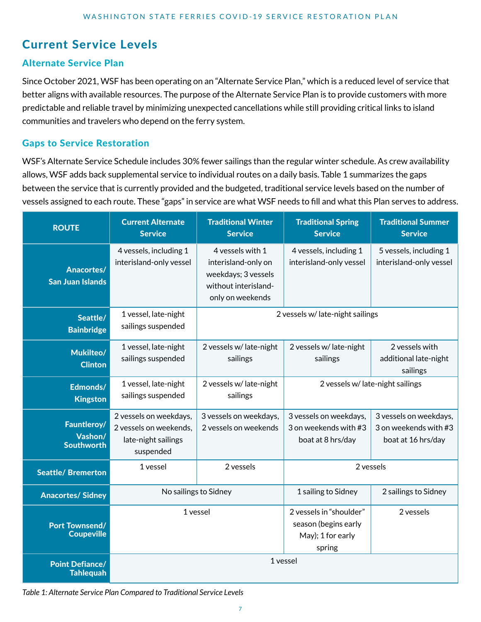# Current Service Levels

# Alternate Service Plan

Since October 2021, WSF has been operating on an "Alternate Service Plan," which is a reduced level of service that better aligns with available resources. The purpose of the Alternate Service Plan is to provide customers with more predictable and reliable travel by minimizing unexpected cancellations while still providing critical links to island communities and travelers who depend on the ferry system.

## Gaps to Service Restoration

WSF's Alternate Service Schedule includes 30% fewer sailings than the regular winter schedule. As crew availability allows, WSF adds back supplemental service to individual routes on a daily basis. Table 1 summarizes the gaps between the service that is currently provided and the budgeted, traditional service levels based on the number of vessels assigned to each route. These "gaps" in service are what WSF needs to fill and what this Plan serves to address.

| <b>ROUTE</b>                                 | <b>Current Alternate</b><br><b>Service</b>                                           | <b>Traditional Winter</b><br><b>Service</b>                                                                | <b>Traditional Spring</b><br><b>Service</b>                                    | <b>Traditional Summer</b><br><b>Service</b>                           |
|----------------------------------------------|--------------------------------------------------------------------------------------|------------------------------------------------------------------------------------------------------------|--------------------------------------------------------------------------------|-----------------------------------------------------------------------|
| <b>Anacortes/</b><br><b>San Juan Islands</b> | 4 vessels, including 1<br>interisland-only vessel                                    | 4 yessels with 1<br>interisland-only on<br>weekdays; 3 vessels<br>without interisland-<br>only on weekends | 4 vessels, including 1<br>interisland-only vessel                              | 5 vessels, including 1<br>interisland-only vessel                     |
| Seattle/<br><b>Bainbridge</b>                | 1 vessel, late-night<br>sailings suspended                                           | 2 vessels w/ late-night sailings                                                                           |                                                                                |                                                                       |
| Mukilteo/<br><b>Clinton</b>                  | 1 vessel, late-night<br>sailings suspended                                           | 2 vessels w/late-night<br>sailings                                                                         | 2 vessels w/late-night<br>sailings                                             | 2 vessels with<br>additional late-night<br>sailings                   |
| Edmonds/<br><b>Kingston</b>                  | 1 vessel, late-night<br>sailings suspended                                           | 2 vessels w/ late-night<br>sailings                                                                        | 2 vessels w/ late-night sailings                                               |                                                                       |
| Fauntleroy/<br>Vashon/<br><b>Southworth</b>  | 2 vessels on weekdays,<br>2 vessels on weekends,<br>late-night sailings<br>suspended | 3 vessels on weekdays,<br>2 vessels on weekends                                                            | 3 vessels on weekdays,<br>3 on weekends with #3<br>boat at 8 hrs/day           | 3 vessels on weekdays,<br>3 on weekends with #3<br>boat at 16 hrs/day |
| <b>Seattle/Bremerton</b>                     | 1 vessel                                                                             | 2 vessels                                                                                                  | 2 vessels                                                                      |                                                                       |
| <b>Anacortes/Sidney</b>                      | No sailings to Sidney                                                                |                                                                                                            | 1 sailing to Sidney                                                            | 2 sailings to Sidney                                                  |
| <b>Port Townsend/</b><br><b>Coupeville</b>   | 1 vessel                                                                             |                                                                                                            | 2 vessels in "shoulder"<br>season (begins early<br>May); 1 for early<br>spring | 2 vessels                                                             |
| <b>Point Defiance/</b><br><b>Tahlequah</b>   | 1 vessel                                                                             |                                                                                                            |                                                                                |                                                                       |

*Table 1: Alternate Service Plan Compared to Traditional Service Levels*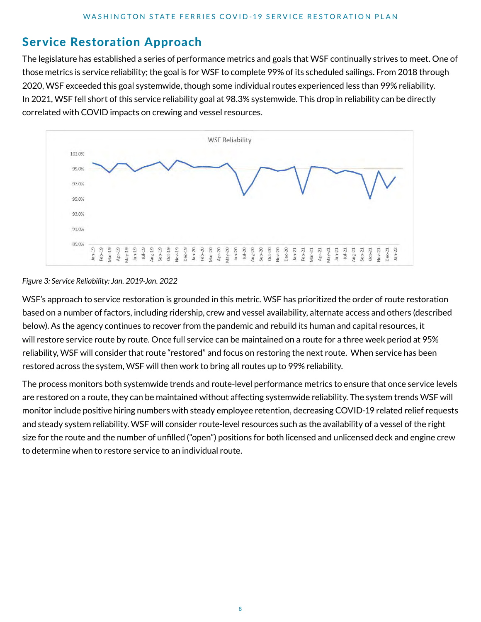# Service Restoration Approach

The legislature has established a series of performance metrics and goals that WSF continually strives to meet. One of those metrics is service reliability; the goal is for WSF to complete 99% of its scheduled sailings. From 2018 through 2020, WSF exceeded this goal systemwide, though some individual routes experienced less than 99% reliability. In 2021, WSF fell short of this service reliability goal at 98.3% systemwide. This drop in reliability can be directly correlated with COVID impacts on crewing and vessel resources.



#### *Figure 3: Service Reliability: Jan. 2019-Jan. 2022*

WSF's approach to service restoration is grounded in this metric. WSF has prioritized the order of route restoration based on a number of factors, including ridership, crew and vessel availability, alternate access and others (described below). As the agency continues to recover from the pandemic and rebuild its human and capital resources, it will restore service route by route. Once full service can be maintained on a route for a three week period at 95% reliability, WSF will consider that route "restored" and focus on restoring the next route. When service has been restored across the system, WSF will then work to bring all routes up to 99% reliability.

The process monitors both systemwide trends and route-level performance metrics to ensure that once service levels are restored on a route, they can be maintained without affecting systemwide reliability. The system trends WSF will monitor include positive hiring numbers with steady employee retention, decreasing COVID-19 related relief requests and steady system reliability. WSF will consider route-level resources such as the availability of a vessel of the right size for the route and the number of unfilled ("open") positions for both licensed and unlicensed deck and engine crew to determine when to restore service to an individual route.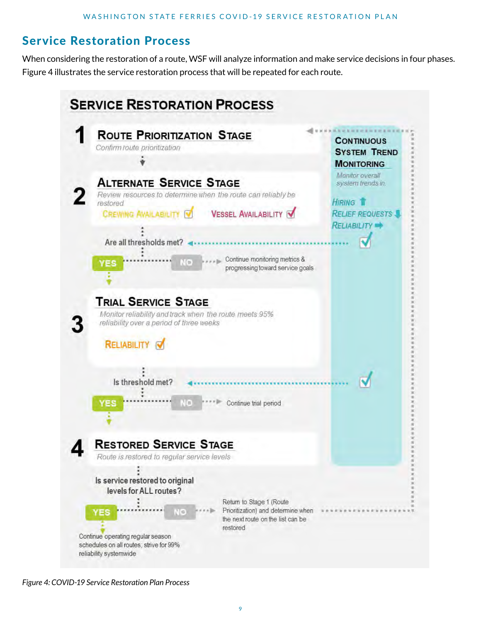# Service Restoration Process

When considering the restoration of a route, WSF will analyze information and make service decisions in four phases. Figure 4 illustrates the service restoration process that will be repeated for each route.



*Figure 4: COVID-19 Service Restoration Plan Process*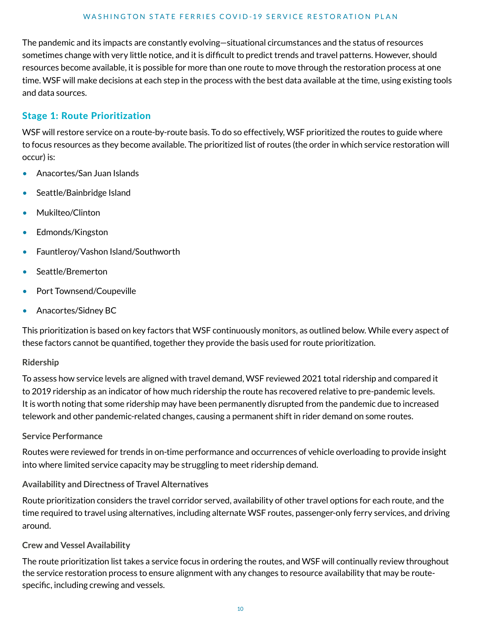The pandemic and its impacts are constantly evolving—situational circumstances and the status of resources sometimes change with very little notice, and it is difficult to predict trends and travel patterns. However, should resources become available, it is possible for more than one route to move through the restoration process at one time. WSF will make decisions at each step in the process with the best data available at the time, using existing tools and data sources.

# Stage 1: Route Prioritization

WSF will restore service on a route-by-route basis. To do so effectively, WSF prioritized the routes to guide where to focus resources as they become available. The prioritized list of routes (the order in which service restoration will occur) is:

- Anacortes/San Juan Islands
- Seattle/Bainbridge Island
- Mukilteo/Clinton
- Edmonds/Kingston
- Fauntleroy/Vashon Island/Southworth
- Seattle/Bremerton
- Port Townsend/Coupeville
- Anacortes/Sidney BC

This prioritization is based on key factors that WSF continuously monitors, as outlined below. While every aspect of these factors cannot be quantified, together they provide the basis used for route prioritization.

#### **Ridership**

To assess how service levels are aligned with travel demand, WSF reviewed 2021 total ridership and compared it to 2019 ridership as an indicator of how much ridership the route has recovered relative to pre-pandemic levels. It is worth noting that some ridership may have been permanently disrupted from the pandemic due to increased telework and other pandemic-related changes, causing a permanent shift in rider demand on some routes.

## **Service Performance**

Routes were reviewed for trends in on-time performance and occurrences of vehicle overloading to provide insight into where limited service capacity may be struggling to meet ridership demand.

## **Availability and Directness of Travel Alternatives**

Route prioritization considers the travel corridor served, availability of other travel options for each route, and the time required to travel using alternatives, including alternate WSF routes, passenger-only ferry services, and driving around.

#### **Crew and Vessel Availability**

The route prioritization list takes a service focus in ordering the routes, and WSF will continually review throughout the service restoration process to ensure alignment with any changes to resource availability that may be routespecific, including crewing and vessels.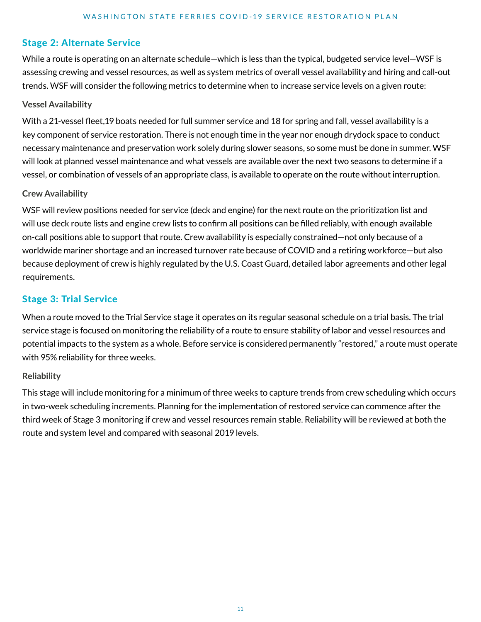## Stage 2: Alternate Service

While a route is operating on an alternate schedule—which is less than the typical, budgeted service level—WSF is assessing crewing and vessel resources, as well as system metrics of overall vessel availability and hiring and call-out trends. WSF will consider the following metrics to determine when to increase service levels on a given route:

#### **Vessel Availability**

With a 21-vessel fleet,19 boats needed for full summer service and 18 for spring and fall, vessel availability is a key component of service restoration. There is not enough time in the year nor enough drydock space to conduct necessary maintenance and preservation work solely during slower seasons, so some must be done in summer. WSF will look at planned vessel maintenance and what vessels are available over the next two seasons to determine if a vessel, or combination of vessels of an appropriate class, is available to operate on the route without interruption.

#### **Crew Availability**

WSF will review positions needed for service (deck and engine) for the next route on the prioritization list and will use deck route lists and engine crew lists to confirm all positions can be filled reliably, with enough available on-call positions able to support that route. Crew availability is especially constrained—not only because of a worldwide mariner shortage and an increased turnover rate because of COVID and a retiring workforce—but also because deployment of crew is highly regulated by the U.S. Coast Guard, detailed labor agreements and other legal requirements.

## Stage 3: Trial Service

When a route moved to the Trial Service stage it operates on its regular seasonal schedule on a trial basis. The trial service stage is focused on monitoring the reliability of a route to ensure stability of labor and vessel resources and potential impacts to the system as a whole. Before service is considered permanently "restored," a route must operate with 95% reliability for three weeks.

#### **Reliability**

This stage will include monitoring for a minimum of three weeks to capture trends from crew scheduling which occurs in two-week scheduling increments. Planning for the implementation of restored service can commence after the third week of Stage 3 monitoring if crew and vessel resources remain stable. Reliability will be reviewed at both the route and system level and compared with seasonal 2019 levels.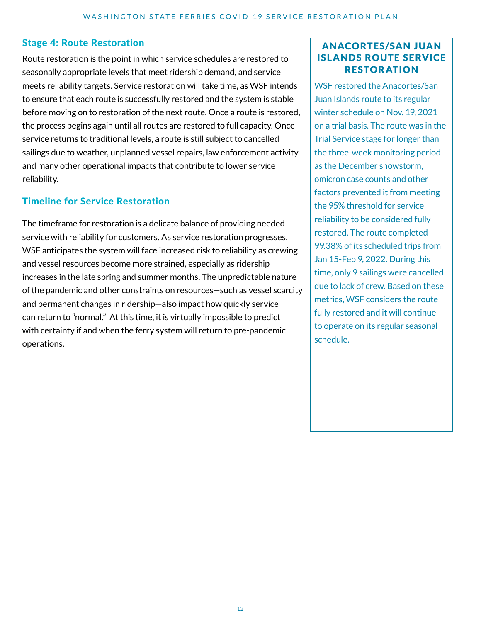## Stage 4: Route Restoration

Route restoration is the point in which service schedules are restored to seasonally appropriate levels that meet ridership demand, and service meets reliability targets. Service restoration will take time, as WSF intends to ensure that each route is successfully restored and the system is stable before moving on to restoration of the next route. Once a route is restored, the process begins again until all routes are restored to full capacity. Once service returns to traditional levels, a route is still subject to cancelled sailings due to weather, unplanned vessel repairs, law enforcement activity and many other operational impacts that contribute to lower service reliability.

# Timeline for Service Restoration

The timeframe for restoration is a delicate balance of providing needed service with reliability for customers. As service restoration progresses, WSF anticipates the system will face increased risk to reliability as crewing and vessel resources become more strained, especially as ridership increases in the late spring and summer months. The unpredictable nature of the pandemic and other constraints on resources—such as vessel scarcity and permanent changes in ridership—also impact how quickly service can return to "normal." At this time, it is virtually impossible to predict with certainty if and when the ferry system will return to pre-pandemic operations.

## ANACORTES/SAN JUAN **ISLANDS ROUTE SERVICE RESTORATION**

WSF restored the Anacortes/San Juan Islands route to its regular winter schedule on Nov. 19, 2021 on a trial basis. The route was in the Trial Service stage for longer than the three-week monitoring period as the December snowstorm, omicron case counts and other factors prevented it from meeting the 95% threshold for service reliability to be considered fully restored. The route completed 99.38% of its scheduled trips from Jan 15-Feb 9, 2022. During this time, only 9 sailings were cancelled due to lack of crew. Based on these metrics, WSF considers the route fully restored and it will continue to operate on its regular seasonal schedule.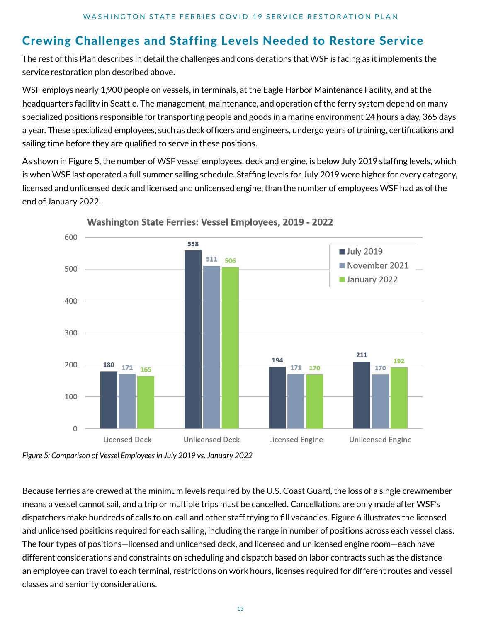# Crewing Challenges and Staffing Levels Needed to Restore Service

The rest of this Plan describes in detail the challenges and considerations that WSF is facing as it implements the service restoration plan described above.

WSF employs nearly 1,900 people on vessels, in terminals, at the Eagle Harbor Maintenance Facility, and at the headquarters facility in Seattle. The management, maintenance, and operation of the ferry system depend on many specialized positions responsible for transporting people and goods in a marine environment 24 hours a day, 365 days a year. These specialized employees, such as deck officers and engineers, undergo years of training, certifications and sailing time before they are qualified to serve in these positions.

As shown in Figure 5, the number of WSF vessel employees, deck and engine, is below July 2019 staffing levels, which is when WSF last operated a full summer sailing schedule. Staffing levels for July 2019 were higher for every category, licensed and unlicensed deck and licensed and unlicensed engine, than the number of employees WSF had as of the end of January 2022.



**Washington State Ferries: Vessel Employees, 2019 - 2022** 

*Figure 5: Comparison of Vessel Employees in July 2019 vs. January 2022*

Because ferries are crewed at the minimum levels required by the U.S. Coast Guard, the loss of a single crewmember means a vessel cannot sail, and a trip or multiple trips must be cancelled. Cancellations are only made after WSF's dispatchers make hundreds of calls to on-call and other staff trying to fill vacancies. Figure 6 illustrates the licensed and unlicensed positions required for each sailing, including the range in number of positions across each vessel class. The four types of positions—licensed and unlicensed deck, and licensed and unlicensed engine room—each have different considerations and constraints on scheduling and dispatch based on labor contracts such as the distance an employee can travel to each terminal, restrictions on work hours, licenses required for different routes and vessel classes and seniority considerations.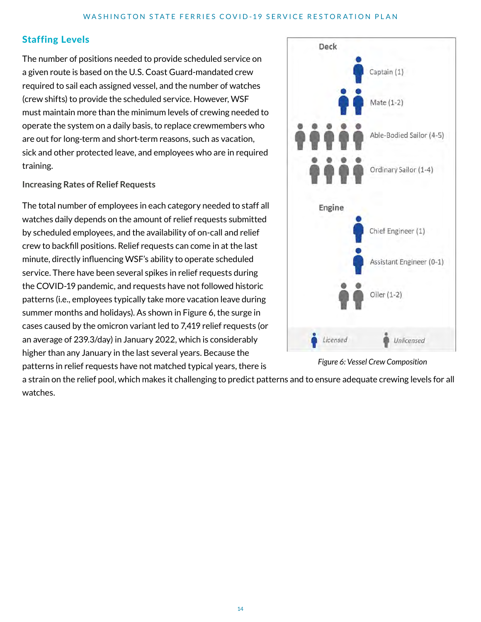# Staffing Levels

The number of positions needed to provide scheduled service on a given route is based on the U.S. Coast Guard-mandated crew required to sail each assigned vessel, and the number of watches (crew shifts) to provide the scheduled service. However, WSF must maintain more than the minimum levels of crewing needed to operate the system on a daily basis, to replace crewmembers who are out for long-term and short-term reasons, such as vacation, sick and other protected leave, and employees who are in required training.

#### **Increasing Rates of Relief Requests**

The total number of employees in each category needed to staff all watches daily depends on the amount of relief requests submitted by scheduled employees, and the availability of on-call and relief crew to backfill positions. Relief requests can come in at the last minute, directly influencing WSF's ability to operate scheduled service. There have been several spikes in relief requests during the COVID-19 pandemic, and requests have not followed historic patterns (i.e., employees typically take more vacation leave during summer months and holidays). As shown in Figure 6, the surge in cases caused by the omicron variant led to 7,419 relief requests (or an average of 239.3/day) in January 2022, which is considerably higher than any January in the last several years. Because the patterns in relief requests have not matched typical years, there is



*Figure 6: Vessel Crew Composition*

a strain on the relief pool, which makes it challenging to predict patterns and to ensure adequate crewing levels for all watches.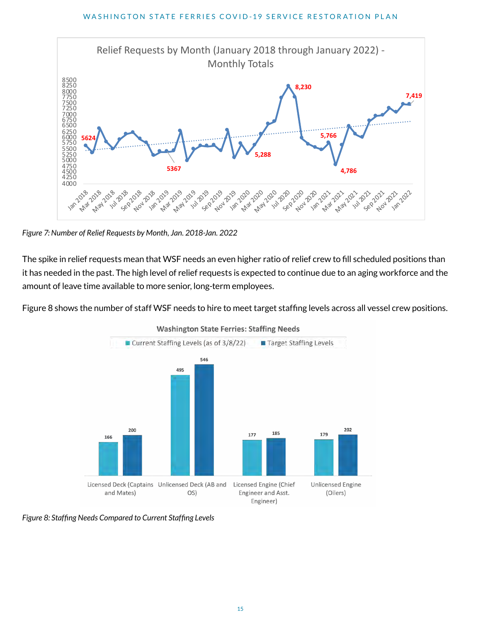

*Figure 7: Number of Relief Requests by Month, Jan. 2018-Jan. 2022*

The spike in relief requests mean that WSF needs an even higher ratio of relief crew to fill scheduled positions than it has needed in the past. The high level of relief requests is expected to continue due to an aging workforce and the amount of leave time available to more senior, long-term employees.

Figure 8 shows the number of staff WSF needs to hire to meet target staffing levels across all vessel crew positions.



**Washington State Ferries: Staffing Needs** 

*Figure 8: Staffing Needs Compared to Current Staffing Levels*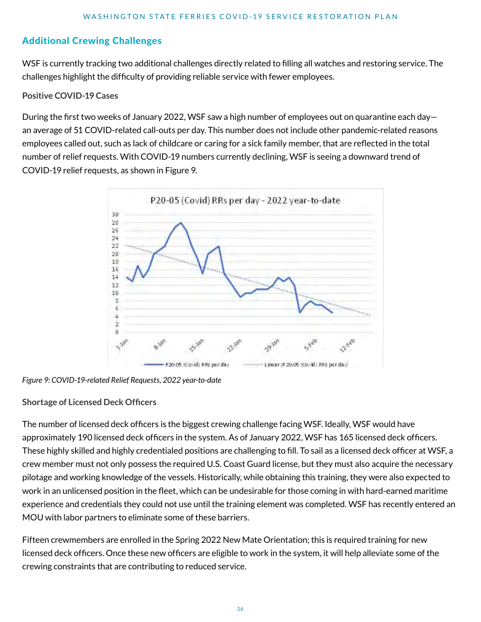# Additional Crewing Challenges

WSF is currently tracking two additional challenges directly related to filling all watches and restoring service. The challenges highlight the difficulty of providing reliable service with fewer employees.

#### **Positive COVID-19 Cases**

During the first two weeks of January 2022, WSF saw a high number of employees out on quarantine each day an average of 51 COVID-related call-outs per day. This number does not include other pandemic-related reasons employees called out, such as lack of childcare or caring for a sick family member, that are reflected in the total number of relief requests. With COVID-19 numbers currently declining, WSF is seeing a downward trend of COVID-19 relief requests, as shown in Figure 9.



*Figure 9: COVID-19-related Relief Requests, 2022 year-to-date*

#### **Shortage of Licensed Deck Officers**

The number of licensed deck officers is the biggest crewing challenge facing WSF. Ideally, WSF would have approximately 190 licensed deck officers in the system. As of January 2022, WSF has 165 licensed deck officers. These highly skilled and highly credentialed positions are challenging to fill. To sail as a licensed deck officer at WSF, a crew member must not only possess the required U.S. Coast Guard license, but they must also acquire the necessary pilotage and working knowledge of the vessels. Historically, while obtaining this training, they were also expected to work in an unlicensed position in the fleet, which can be undesirable for those coming in with hard-earned maritime experience and credentials they could not use until the training element was completed. WSF has recently entered an MOU with labor partners to eliminate some of these barriers.

Fifteen crewmembers are enrolled in the Spring 2022 New Mate Orientation; this is required training for new licensed deck officers. Once these new officers are eligible to work in the system, it will help alleviate some of the crewing constraints that are contributing to reduced service.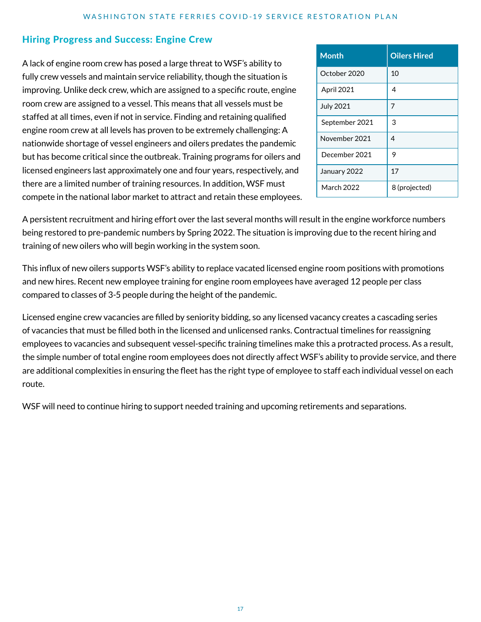#### Hiring Progress and Success: Engine Crew

A lack of engine room crew has posed a large threat to WSF's ability to fully crew vessels and maintain service reliability, though the situation is improving. Unlike deck crew, which are assigned to a specific route, engine room crew are assigned to a vessel. This means that all vessels must be staffed at all times, even if not in service. Finding and retaining qualified engine room crew at all levels has proven to be extremely challenging: A nationwide shortage of vessel engineers and oilers predates the pandemic but has become critical since the outbreak. Training programs for oilers and licensed engineers last approximately one and four years, respectively, and there are a limited number of training resources. In addition, WSF must compete in the national labor market to attract and retain these employees.

| <b>Month</b>     | <b>Oilers Hired</b> |  |
|------------------|---------------------|--|
| October 2020     | 10                  |  |
| April 2021       | 4                   |  |
| <b>July 2021</b> | 7                   |  |
| September 2021   | 3                   |  |
| November 2021    | 4                   |  |
| December 2021    | 9                   |  |
| January 2022     | 17                  |  |
| March 2022       | 8 (projected)       |  |

A persistent recruitment and hiring effort over the last several months will result in the engine workforce numbers being restored to pre-pandemic numbers by Spring 2022. The situation is improving due to the recent hiring and training of new oilers who will begin working in the system soon.

This influx of new oilers supports WSF's ability to replace vacated licensed engine room positions with promotions and new hires. Recent new employee training for engine room employees have averaged 12 people per class compared to classes of 3-5 people during the height of the pandemic.

Licensed engine crew vacancies are filled by seniority bidding, so any licensed vacancy creates a cascading series of vacancies that must be filled both in the licensed and unlicensed ranks. Contractual timelines for reassigning employees to vacancies and subsequent vessel-specific training timelines make this a protracted process. As a result, the simple number of total engine room employees does not directly affect WSF's ability to provide service, and there are additional complexities in ensuring the fleet has the right type of employee to staff each individual vessel on each route.

WSF will need to continue hiring to support needed training and upcoming retirements and separations.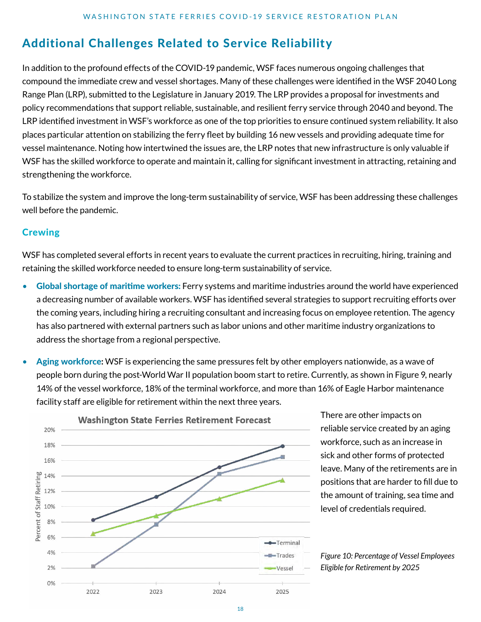# Additional Challenges Related to Service Reliability

In addition to the profound effects of the COVID-19 pandemic, WSF faces numerous ongoing challenges that compound the immediate crew and vessel shortages. Many of these challenges were identified in the WSF 2040 Long Range Plan (LRP), submitted to the Legislature in January 2019. The LRP provides a proposal for investments and policy recommendations that support reliable, sustainable, and resilient ferry service through 2040 and beyond. The LRP identified investment in WSF's workforce as one of the top priorities to ensure continued system reliability. It also places particular attention on stabilizing the ferry fleet by building 16 new vessels and providing adequate time for vessel maintenance. Noting how intertwined the issues are, the LRP notes that new infrastructure is only valuable if WSF has the skilled workforce to operate and maintain it, calling for significant investment in attracting, retaining and strengthening the workforce.

To stabilize the system and improve the long-term sustainability of service, WSF has been addressing these challenges well before the pandemic.

# **Crewing**

WSF has completed several efforts in recent years to evaluate the current practices in recruiting, hiring, training and retaining the skilled workforce needed to ensure long-term sustainability of service.

- Global shortage of maritime workers: Ferry systems and maritime industries around the world have experienced a decreasing number of available workers. WSF has identified several strategies to support recruiting efforts over the coming years, including hiring a recruiting consultant and increasing focus on employee retention. The agency has also partnered with external partners such as labor unions and other maritime industry organizations to address the shortage from a regional perspective.
- Aging workforce**:** WSF is experiencing the same pressures felt by other employers nationwide, as a wave of people born during the post-World War II population boom start to retire. Currently, as shown in Figure 9, nearly 14% of the vessel workforce, 18% of the terminal workforce, and more than 16% of Eagle Harbor maintenance facility staff are eligible for retirement within the next three years.



There are other impacts on reliable service created by an aging workforce, such as an increase in sick and other forms of protected leave. Many of the retirements are in positions that are harder to fill due to the amount of training, sea time and level of credentials required.

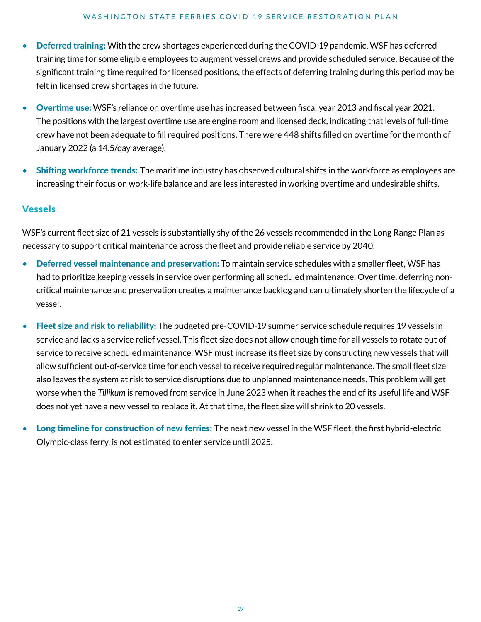#### WASHINGTON STATE FERRIES COVID-19 SERVICE RESTORATION PLAN

- Deferred training: With the crew shortages experienced during the COVID-19 pandemic, WSF has deferred training time for some eligible employees to augment vessel crews and provide scheduled service. Because of the significant training time required for licensed positions, the effects of deferring training during this period may be felt in licensed crew shortages in the future.
- Overtime use: WSF's reliance on overtime use has increased between fiscal year 2013 and fiscal year 2021. The positions with the largest overtime use are engine room and licensed deck, indicating that levels of full-time crew have not been adequate to fill required positions. There were 448 shifts filled on overtime for the month of January 2022 (a 14.5/day average).
- Shifting workforce trends: The maritime industry has observed cultural shifts in the workforce as employees are increasing their focus on work-life balance and are less interested in working overtime and undesirable shifts.

#### **Vessels**

WSF's current fleet size of 21 vessels is substantially shy of the 26 vessels recommended in the Long Range Plan as necessary to support critical maintenance across the fleet and provide reliable service by 2040.

- Deferred vessel maintenance and preservation: To maintain service schedules with a smaller fleet, WSF has had to prioritize keeping vessels in service over performing all scheduled maintenance. Over time, deferring noncritical maintenance and preservation creates a maintenance backlog and can ultimately shorten the lifecycle of a vessel.
- Fleet size and risk to reliability: The budgeted pre-COVID-19 summer service schedule requires 19 vessels in service and lacks a service relief vessel. This fleet size does not allow enough time for all vessels to rotate out of service to receive scheduled maintenance. WSF must increase its fleet size by constructing new vessels that will allow sufficient out-of-service time for each vessel to receive required regular maintenance. The small fleet size also leaves the system at risk to service disruptions due to unplanned maintenance needs. This problem will get worse when the *Tillikum* is removed from service in June 2023 when it reaches the end of its useful life and WSF does not yet have a new vessel to replace it. At that time, the fleet size will shrink to 20 vessels.
- Long timeline for construction of new ferries: The next new vessel in the WSF fleet, the first hybrid-electric Olympic-class ferry, is not estimated to enter service until 2025.